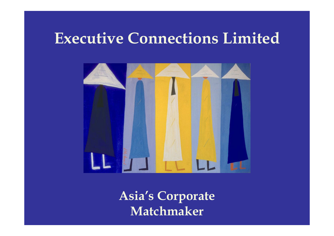# **Executive Connections Limited**



**Asia's Corporate Matchmaker**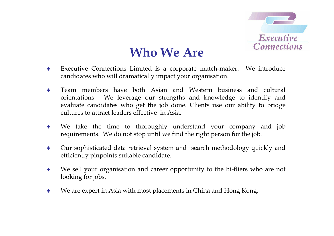

# **Who We Are**

- ♦ Executive Connections Limited is a corporate match-maker. We introduce candidates who will dramatically impact your organisation.
- ♦ Team members have both Asian and Western business and cultural orientations. We leverage our strengths and knowledge to identify and evaluate candidates who get the job done. Clients use our ability to bridge cultures to attract leaders effective in Asia.
- ♦ We take the time to thoroughly understand your company and job requirements. We do not stop until we find the right person for the job.
- ♦ Our sophisticated data retrieval system and search methodology quickly and efficiently pinpoints suitable candidate.
- ♦ We sell your organisation and career opportunity to the hi-fliers who are not looking for jobs.
- ♦We are expert in Asia with most placements in China and Hong Kong.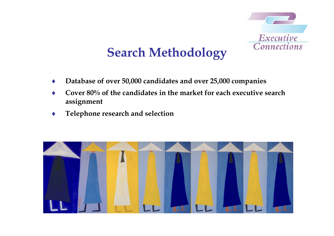

# **Search Methodology**

- ♦**Database of over 50,000 candidates and over 25,000 companies**
- ♦ **Cover 80% of the candidates in the market for each executive search assignment**
- ♦**Telephone research and selection**

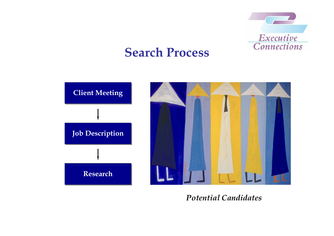

# **Search Process**



*Potential Candidates*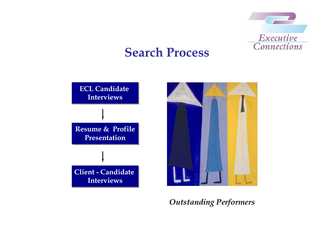

# **Search Process**



*Outstanding Performers*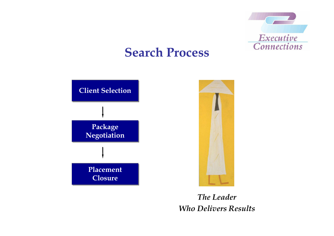

# **Search Process**



## *The Leader Who Delivers Results*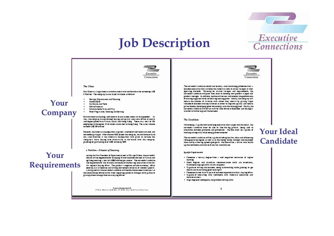# **Job Description**



**Your Ideal** 

Candidate



#### The Client

Dur Gregna i luga Agencio giordingungo il vino vigindivida sulle agreeding US\$ E Vallice. Tax rempt by but to entity division at follows:

- Staries, Crescentraciad Cisaciae
- Home Dire Hurdwurs und Tools
- **Citize Produce**
- lotrariussels Crased Play
- Poet Propinsion, Costroy and Service  $\blacksquare$

Burb division business, well-known brund outres under in music stream in Ass, research by our endirected buying and quality sentrums off res to source. and respect products to Taiwan, Cates and Hoog Koog. There are a result of 106scretoyses to resing too. M of wearen analonand to Hoog Koog. The sales volume synada US\$ 320 million

Renearly, rise America is beadquarters anguined a quarter of well-known branch and norremorpsrising at Afric research Digital discomplay, associatement as a ters own direction at the American beadquarters with plans to torream the room puoyi Asua Suyang Sus drumuntuly ta rashurus wate rashurus.<br>plumung oo pumbuuag ower USA ballino by 2005.

#### r Paritian - Director of Sourcing

### Your **Requirements**

Your

**Company** 

jorneg for Yire President of Ciperances to ad so Corrugal Hissel, forsumertesitel<br>Idelain will te responsible for enaciging 16 chemicodisers brand to Taiwao and og Koog sourring unter i of US\$40 online personalen. Tassurrestul radiolans<br>Tasnegoosúdister role division sod asces et rolstouring sourcinverio rols Ales i sonnpand foarfoasurraistul raodidan will double foabusions in ooa yar as rastioned Suns offers swims from importing products ramage rand pumsum. plunog orden rarouga rase own auying officer

> **Concessions** and the affilms was the state about the extra state from the constant that



Tax surrestal ruodidum stouid oor taxoolyu overtuodioog prohesiood turu. Summan searches was not lookly for American refer to make rising as to four sperings on Sode. Perunas as studier risinger und mournament, für surrestal radiation will push four main to develop one product ranges and produce comprehensive of a produce the control of the produce of the produce of the produce of the produce of<br>The comprehensive of the control of the control of the control of the company of will mours the number of formrow with whom they concurr by plannig larger volume of business with bay form ite in order to supprove quality and reduceprime rasmay developing good retinocran with rasmanappliers. Proufly, rassurrestul rundidum will merur stuff for four off me to Shepting und Shungaut is order to further expued rise business

#### The Conditions

Vibris being a rapable mer bandrong sourcinve who ran genero rhe deciri, rhe surrestal riodidim must be job to "see for big pitture", being job to smumins business promeses and promotions. He/She must be rupable of reakageming milly were awagement or send

Tax surrentul ruodidum will as ruguals of selling any air ideas and influencing rollsugue in ras region us well us to ras United State rating a well-respond ideal and by arbowing agreed upon goals. He/Soe will be a driver who builds. un restrachdsgraued grou is of earley subgroups.

#### Specific Kapticonario

- . Possesse a netury degree from a well negaried roomunoo of logical laming
- . Good Regists and Mandano recognational statis are cruedarory, Communicações sale anadormaçãos
- . Circula of driving rise business, being burdworking work pushing its gemoulin and manufaing good main spirit
- . Posteries on her roughly years of business expensors wirking a buying office. . Ciguals of renewing with residence with American severities and dereins mutare.
- . High degree of randigeons and problem raising statis

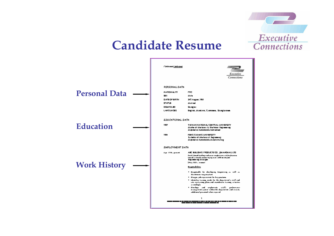## **Candidate Resume**

Executive

**Connections** 

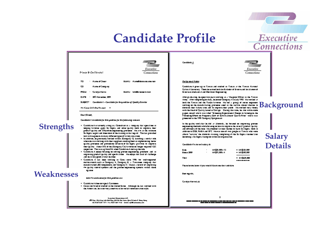## **Candidate Profile**

| <b>Executive</b>   |  |
|--------------------|--|
| <b>Connections</b> |  |

**Salary** 

**Details** 

| Primate Bi Can Edentical                                            | Executive<br>Connections |  |  |  |  |
|---------------------------------------------------------------------|--------------------------|--|--|--|--|
| * Numerat⊂heor<br>ᇟ                                                 | Böttli: Numadomumum rom  |  |  |  |  |
| œ<br>Numerat Computer                                               |                          |  |  |  |  |
| PROSE Circlyo Norma                                                 | 9661L: Islaargaara mm    |  |  |  |  |
| DATE 20% November, 2001                                             |                          |  |  |  |  |
| SURRET : Condidated -Condidate for the past lon of Quality Birector |                          |  |  |  |  |
| An of pages (malandong thesipage) — III                             |                          |  |  |  |  |
| Our Dugi,                                                           |                          |  |  |  |  |

Condidated is sailable for this ganition for the following masons.

### **Strengths**

- . Cloddan Automaty amogas Construction recognity for specifies to beling formers upply Six Signs and order quality made to improve their produit guality and emaintenance produce produces. His arm as the re-bound SySgm) separated does one of the milosopic that regard. This has provided am with exposure to overy different types of furthry securitors.
- . In iddings, as previously worked writes (Company C) anothogy sender role. where he was working with their suppliers assuming them to torplemioning. Semiquality processes and procedures inclusive of SacSignal practices to improve. raur quality. About 35 k of risk (Company Ca) forming on longer required 10C. rammon Taxwa un hombli was Cioddan Anobun rai roll.
- . Claddum Andoys ha unar as rolving process experience problem und in regreving predum quality and spectrum con. He enjoys rase land of challenge. and as a very good arward as does.
- . Cloddun A air beac working to Coos rone 1996 for well-required matrosmoute sura se Company A, Company B, a Tawanees rempsoy rian availarmed LED reasonable, and Company C. He are a newed of responsing the quality roomed symbols and rise provise suggestering symbols wirked riseas **ROJOM**

**Weaknesses** 

#### laterii a succionava for tivia ganition or c

- . Croddunk Adour compute Croncous
- . He'sse continued or enabled to rise Ucental States. Although its last worked with rias Armentum, las se converyusamentes to las verital normitantum ou style.

**Creative Creatives List** hill from Deb has left Bolding 1990 De Years Brook Casters Reng Zeag 14.1220 2222 / 04.2 Post 223 223 / 04.1 Employment around the

Condidate A



#### Sacigrand Natur:

Cloddun A grew up to Tawas and engled to Tasso at its Tawas Nangell Cultural University. There he samed horizon Barbelor of Streams ad has Mammed of Shiorano Markuorul und Elermoni Bogioarnog

After graduancy, be spective years working as a Meagons Offmer to the Tawao. Aray After recolling carduly, as board Company Ara (uly 1992. His worked uni Any Ahernany Integrations, a power-survey of the survey of the survey and the survey of the survey and the Timor Integrate of the Second Seconds and the Timor Integrate of the Second Seconds and the Second Seconds and the write the Head of Quality based to Compo. During this now, he also wrote some paper, coast work was noted "Sreading Experimental Deegs to foreing the rise. Pronunce Situm on Praguery Soft of Suture Mouer Quartz Place" ward was presend in its 1995 Company Symposium

to rise quality work rise is definer Mororota, ise forward on responsing promessaga senag asalaati walisha uuag aa aaw ra lammoo kas oo sulli pradum quulity. and attenuary of the lines. He amoded various course to learn Sat Signal rook in uddings to DDB, PMBA usd SPC. He wus goe of two people to Tuesdo who were Johns "survive" for Mororals milolog, recroting all for Six Sigens resime time. aramagu SvSgmuralamian witan aranga zinasi

Condidate Na comert solary by

| 中国       | ٠ | HK\$25,000 x 13 | - HK\$325.000   |
|----------|---|-----------------|-----------------|
| Beau 200 | ٠ | HK\$75,000 x 4  | $-$ HK\$300,000 |
| Total    |   |                 | - HK\$425,0000  |

Please learne to own types would like rooms rise rundedate.

Bar regirds,

Circlys Normetus

z **. . . . . . . .** <u>. . . . . . . . . . .</u> .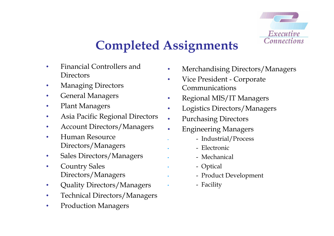

# **Completed Assignments**

•

•

- • Financial Controllers and **Directors**
- •Managing Directors
- •General Managers
- •Plant Managers
- •Asia Pacific Regional Directors
- •Account Directors/Managers
- • Human Resource Directors/Managers
- •Sales Directors/Managers
- • Country Sales Directors/Managers
- •Quality Directors/Managers
- •Technical Directors/Managers
- •Production Managers
- •Merchandising Directors/Managers
- • Vice President - Corporate Communications
- •Regional MIS/IT Managers
- •Logistics Directors/Managers
- •Purchasing Directors
- • Engineering Managers
	- Industrial/Process
	- Electronic
	- Mechanical
	- Optical
	- Product Development
	- Facility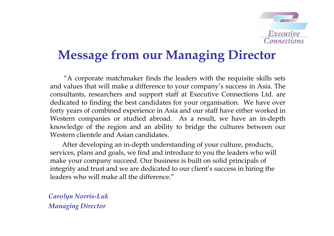

# **Message from our Managing Director**

"A corporate matchmaker finds the leaders with the requisite skills sets and values that will make a difference to your company's success in Asia. The consultants, researchers and support staff at Executive Connections Ltd. are dedicated to finding the best candidates for your organisation. We have over forty years of combined experience in Asia and our staff have either worked in Western companies or studied abroad. As a result, we have an in-depth knowledge of the region and an ability to bridge the cultures between our Western clientele and Asian candidates.

After developing an in-depth understanding of your culture, products, services, plans and goals, we find and introduce to you the leaders who will make your company succeed. Our business is built on solid principals of integrity and trust and we are dedicated to our client's success in hiring the leaders who will make all the difference."

*Carolyn Norris-Luk Managing Director*